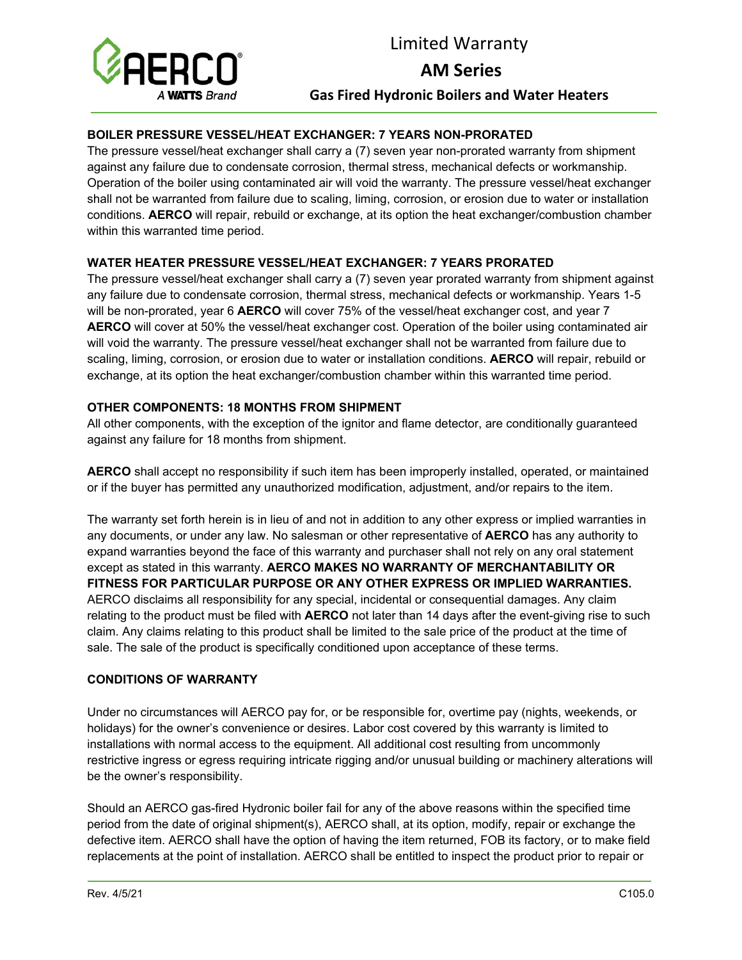

## Limited Warranty

**AM Series**

**Gas Fired Hydronic Boilers and Water Heaters** 

### **BOILER PRESSURE VESSEL/HEAT EXCHANGER: 7 YEARS NON-PRORATED**

The pressure vessel/heat exchanger shall carry a (7) seven year non-prorated warranty from shipment against any failure due to condensate corrosion, thermal stress, mechanical defects or workmanship. Operation of the boiler using contaminated air will void the warranty. The pressure vessel/heat exchanger shall not be warranted from failure due to scaling, liming, corrosion, or erosion due to water or installation conditions. **AERCO** will repair, rebuild or exchange, at its option the heat exchanger/combustion chamber within this warranted time period.

#### **WATER HEATER PRESSURE VESSEL/HEAT EXCHANGER: 7 YEARS PRORATED**

The pressure vessel/heat exchanger shall carry a (7) seven year prorated warranty from shipment against any failure due to condensate corrosion, thermal stress, mechanical defects or workmanship. Years 1-5 will be non-prorated, year 6 **AERCO** will cover 75% of the vessel/heat exchanger cost, and year 7 **AERCO** will cover at 50% the vessel/heat exchanger cost. Operation of the boiler using contaminated air will void the warranty. The pressure vessel/heat exchanger shall not be warranted from failure due to scaling, liming, corrosion, or erosion due to water or installation conditions. **AERCO** will repair, rebuild or exchange, at its option the heat exchanger/combustion chamber within this warranted time period.

#### **OTHER COMPONENTS: 18 MONTHS FROM SHIPMENT**

All other components, with the exception of the ignitor and flame detector, are conditionally guaranteed against any failure for 18 months from shipment.

**AERCO** shall accept no responsibility if such item has been improperly installed, operated, or maintained or if the buyer has permitted any unauthorized modification, adjustment, and/or repairs to the item.

The warranty set forth herein is in lieu of and not in addition to any other express or implied warranties in any documents, or under any law. No salesman or other representative of **AERCO** has any authority to expand warranties beyond the face of this warranty and purchaser shall not rely on any oral statement except as stated in this warranty. **AERCO MAKES NO WARRANTY OF MERCHANTABILITY OR FITNESS FOR PARTICULAR PURPOSE OR ANY OTHER EXPRESS OR IMPLIED WARRANTIES.**  AERCO disclaims all responsibility for any special, incidental or consequential damages. Any claim relating to the product must be filed with **AERCO** not later than 14 days after the event-giving rise to such claim. Any claims relating to this product shall be limited to the sale price of the product at the time of sale. The sale of the product is specifically conditioned upon acceptance of these terms.

#### **CONDITIONS OF WARRANTY**

Under no circumstances will AERCO pay for, or be responsible for, overtime pay (nights, weekends, or holidays) for the owner's convenience or desires. Labor cost covered by this warranty is limited to installations with normal access to the equipment. All additional cost resulting from uncommonly restrictive ingress or egress requiring intricate rigging and/or unusual building or machinery alterations will be the owner's responsibility.

Should an AERCO gas-fired Hydronic boiler fail for any of the above reasons within the specified time period from the date of original shipment(s), AERCO shall, at its option, modify, repair or exchange the defective item. AERCO shall have the option of having the item returned, FOB its factory, or to make field replacements at the point of installation. AERCO shall be entitled to inspect the product prior to repair or